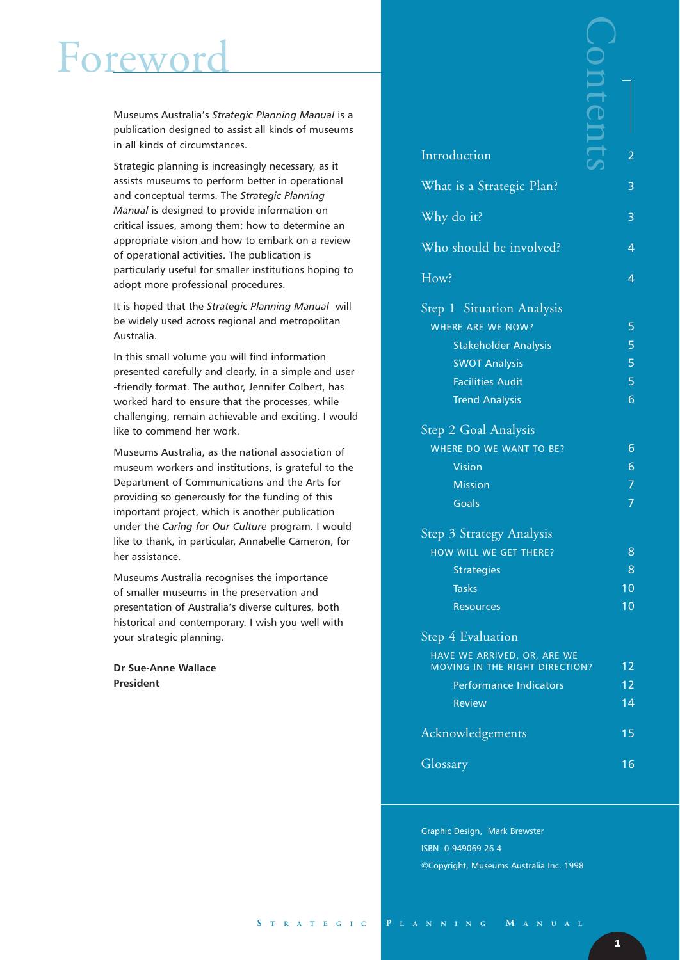### rewo

Museums Australia's *Strategic Planning Manual* is a publication designed to assist all kinds of museums in all kinds of circumstances.

Strategic planning is increasingly necessary, as it assists museums to perform better in operational and conceptual terms. The *Strategic Planning Manual* is designed to provide information on critical issues, among them: how to determine an appropriate vision and how to embark on a review of operational activities. The publication is particularly useful for smaller institutions hoping to adopt more professional procedures.

It is hoped that the *Strategic Planning Manual* will be widely used across regional and metropolitan Australia.

In this small volume you will find information presented carefully and clearly, in a simple and user -friendly format. The author, Jennifer Colbert, has worked hard to ensure that the processes, while challenging, remain achievable and exciting. I would like to commend her work.

Museums Australia, as the national association of museum workers and institutions, is grateful to the Department of Communications and the Arts for providing so generously for the funding of this important project, which is another publication under the *Caring for Our Culture* program. I would like to thank, in particular, Annabelle Cameron, for her assistance.

Museums Australia recognises the importance of smaller museums in the preservation and presentation of Australia's diverse cultures, both historical and contemporary. I wish you well with your strategic planning.

**Dr Sue-Anne Wallace President**

| Introduction                                                     | 2  |
|------------------------------------------------------------------|----|
| What is a Strategic Plan?                                        | 3  |
| Why do it?                                                       | 3  |
| Who should be involved?                                          | 4  |
| How?                                                             | 4  |
|                                                                  |    |
| Step <sup>1</sup> Situation Analysis<br><b>WHERE ARE WE NOW?</b> | 5  |
| <b>Stakeholder Analysis</b>                                      | 5  |
| <b>SWOT Analysis</b>                                             | 5  |
| <b>Facilities Audit</b>                                          | 5  |
| <b>Trend Analysis</b>                                            | 6  |
| Step 2 Goal Analysis                                             |    |
| WHERE DO WE WANT TO BE?                                          | 6  |
| Vision                                                           | 6  |
| <b>Mission</b>                                                   | 7  |
| <b>Goals</b>                                                     | 7  |
| Step 3 Strategy Analysis                                         |    |
| HOW WILL WE GET THERE?                                           | 8  |
| <b>Strategies</b>                                                | 8  |
| <b>Tasks</b>                                                     | 10 |
| <b>Resources</b>                                                 | 10 |
| Step 4 Evaluation                                                |    |
| HAVE WE ARRIVED, OR, ARE WE<br>MOVING IN THE RIGHT DIRECTION?    | 12 |
| <b>Performance Indicators</b>                                    | 12 |
| <b>Review</b>                                                    | 14 |
| Acknowledgements                                                 | 15 |
|                                                                  |    |

Graphic Design, Mark Brewster ISBN 0 949069 26 4 ©Copyright, Museums Australia Inc. 1998

Glossary 16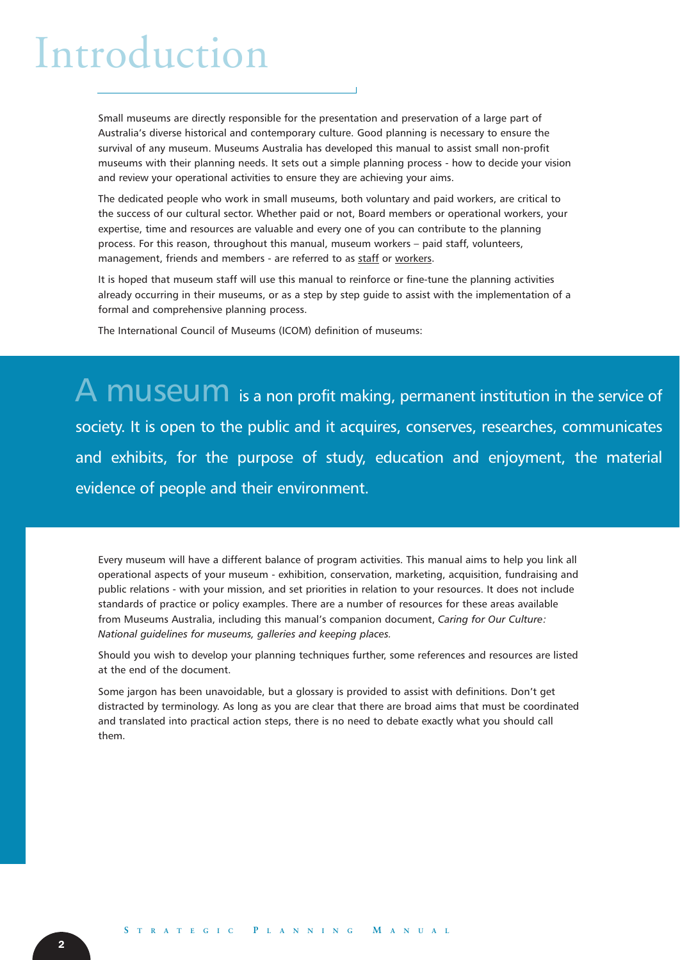### Introduction

Small museums are directly responsible for the presentation and preservation of a large part of Australia's diverse historical and contemporary culture. Good planning is necessary to ensure the survival of any museum. Museums Australia has developed this manual to assist small non-profit museums with their planning needs. It sets out a simple planning process - how to decide your vision and review your operational activities to ensure they are achieving your aims.

The dedicated people who work in small museums, both voluntary and paid workers, are critical to the success of our cultural sector. Whether paid or not, Board members or operational workers, your expertise, time and resources are valuable and every one of you can contribute to the planning process. For this reason, throughout this manual, museum workers – paid staff, volunteers, management, friends and members - are referred to as staff or workers.

It is hoped that museum staff will use this manual to reinforce or fine-tune the planning activities already occurring in their museums, or as a step by step guide to assist with the implementation of a formal and comprehensive planning process.

The International Council of Museums (ICOM) definition of museums:

A MUSEUM is a non profit making, permanent institution in the service of society. It is open to the public and it acquires, conserves, researches, communicates and exhibits, for the purpose of study, education and enjoyment, the material evidence of people and their environment.

Every museum will have a different balance of program activities. This manual aims to help you link all operational aspects of your museum - exhibition, conservation, marketing, acquisition, fundraising and public relations - with your mission, and set priorities in relation to your resources. It does not include standards of practice or policy examples. There are a number of resources for these areas available from Museums Australia, including this manual's companion document, *Caring for Our Culture: National guidelines for museums, galleries and keeping places.*

Should you wish to develop your planning techniques further, some references and resources are listed at the end of the document.

Some jargon has been unavoidable, but a glossary is provided to assist with definitions. Don't get distracted by terminology. As long as you are clear that there are broad aims that must be coordinated and translated into practical action steps, there is no need to debate exactly what you should call them.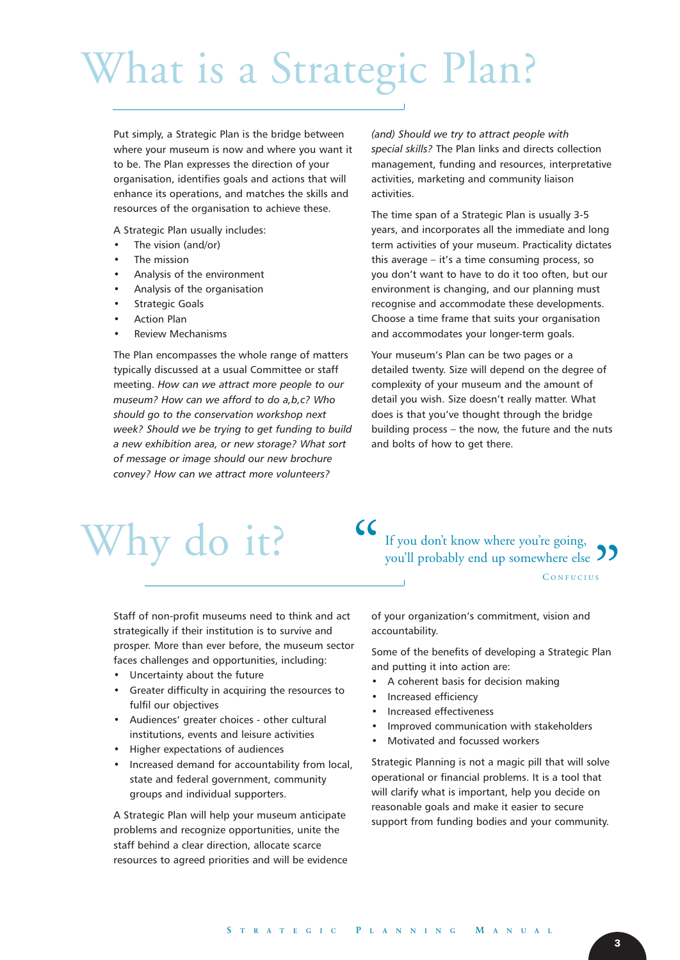# What is a Strategic Plan?

Put simply, a Strategic Plan is the bridge between where your museum is now and where you want it to be. The Plan expresses the direction of your organisation, identifies goals and actions that will enhance its operations, and matches the skills and resources of the organisation to achieve these.

A Strategic Plan usually includes:

- The vision (and/or)
- The mission
- Analysis of the environment
- Analysis of the organisation
- Strategic Goals
- Action Plan
- Review Mechanisms

The Plan encompasses the whole range of matters typically discussed at a usual Committee or staff meeting. *How can we attract more people to our museum? How can we afford to do a,b,c? Who should go to the conservation workshop next week? Should we be trying to get funding to build a new exhibition area, or new storage? What sort of message or image should our new brochure convey? How can we attract more volunteers?*

*(and) Should we try to attract people with special skills?* The Plan links and directs collection management, funding and resources, interpretative activities, marketing and community liaison activities.

The time span of a Strategic Plan is usually 3-5 years, and incorporates all the immediate and long term activities of your museum. Practicality dictates this average – it's a time consuming process, so you don't want to have to do it too often, but our environment is changing, and our planning must recognise and accommodate these developments. Choose a time frame that suits your organisation and accommodates your longer-term goals.

Your museum's Plan can be two pages or a detailed twenty. Size will depend on the degree of complexity of your museum and the amount of detail you wish. Size doesn't really matter. What does is that you've thought through the bridge building process – the now, the future and the nuts and bolts of how to get there.

## Why do it?

Staff of non-profit museums need to think and act strategically if their institution is to survive and prosper. More than ever before, the museum sector faces challenges and opportunities, including:

- Uncertainty about the future
- Greater difficulty in acquiring the resources to fulfil our objectives
- Audiences' greater choices other cultural institutions, events and leisure activities
- Higher expectations of audiences
- Increased demand for accountability from local, state and federal government, community groups and individual supporters.

A Strategic Plan will help your museum anticipate problems and recognize opportunities, unite the staff behind a clear direction, allocate scarce resources to agreed priorities and will be evidence If you don't know where you're going, you'll probably end up somewhere else

of your organization's commitment, vision and accountability.

Some of the benefits of developing a Strategic Plan and putting it into action are:

- A coherent basis for decision making
- Increased efficiency
- Increased effectiveness
- Improved communication with stakeholders
- Motivated and focussed workers

Strategic Planning is not a magic pill that will solve operational or financial problems. It is a tool that will clarify what is important, help you decide on reasonable goals and make it easier to secure support from funding bodies and your community.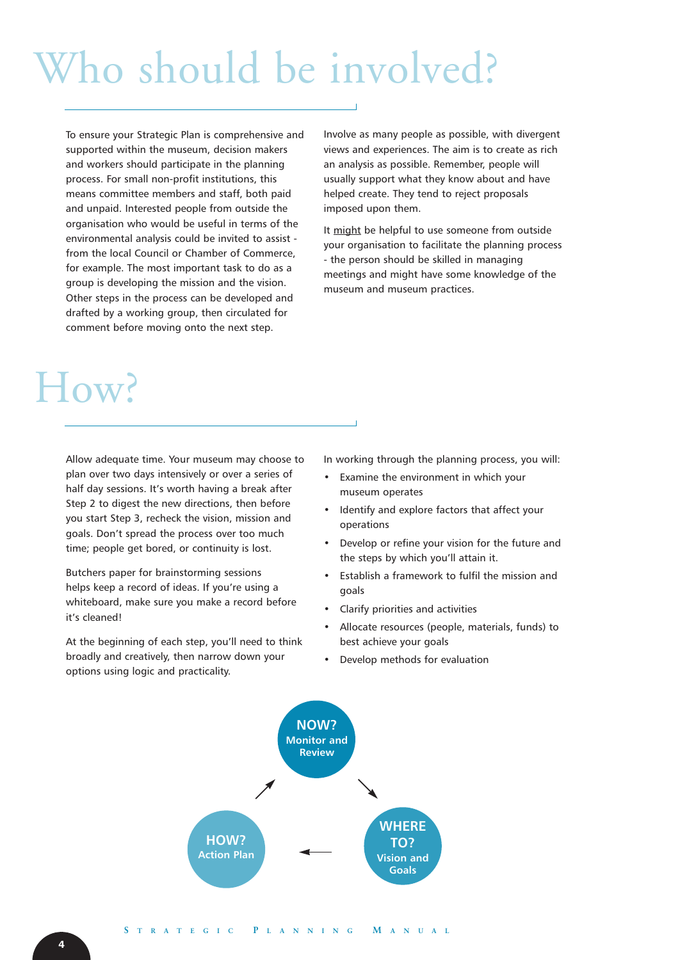## Who should be involved?

To ensure your Strategic Plan is comprehensive and supported within the museum, decision makers and workers should participate in the planning process. For small non-profit institutions, this means committee members and staff, both paid and unpaid. Interested people from outside the organisation who would be useful in terms of the environmental analysis could be invited to assist from the local Council or Chamber of Commerce, for example. The most important task to do as a group is developing the mission and the vision. Other steps in the process can be developed and drafted by a working group, then circulated for comment before moving onto the next step.

Involve as many people as possible, with divergent views and experiences. The aim is to create as rich an analysis as possible. Remember, people will usually support what they know about and have helped create. They tend to reject proposals imposed upon them.

It might be helpful to use someone from outside your organisation to facilitate the planning process - the person should be skilled in managing meetings and might have some knowledge of the museum and museum practices.

### How?

Allow adequate time. Your museum may choose to plan over two days intensively or over a series of half day sessions. It's worth having a break after Step 2 to digest the new directions, then before you start Step 3, recheck the vision, mission and goals. Don't spread the process over too much time; people get bored, or continuity is lost.

Butchers paper for brainstorming sessions helps keep a record of ideas. If you're using a whiteboard, make sure you make a record before it's cleaned!

At the beginning of each step, you'll need to think broadly and creatively, then narrow down your options using logic and practicality.

In working through the planning process, you will:

- Examine the environment in which your museum operates
- Identify and explore factors that affect your operations
- Develop or refine your vision for the future and the steps by which you'll attain it.
- Establish a framework to fulfil the mission and goals
- Clarify priorities and activities
- Allocate resources (people, materials, funds) to best achieve your goals
- Develop methods for evaluation

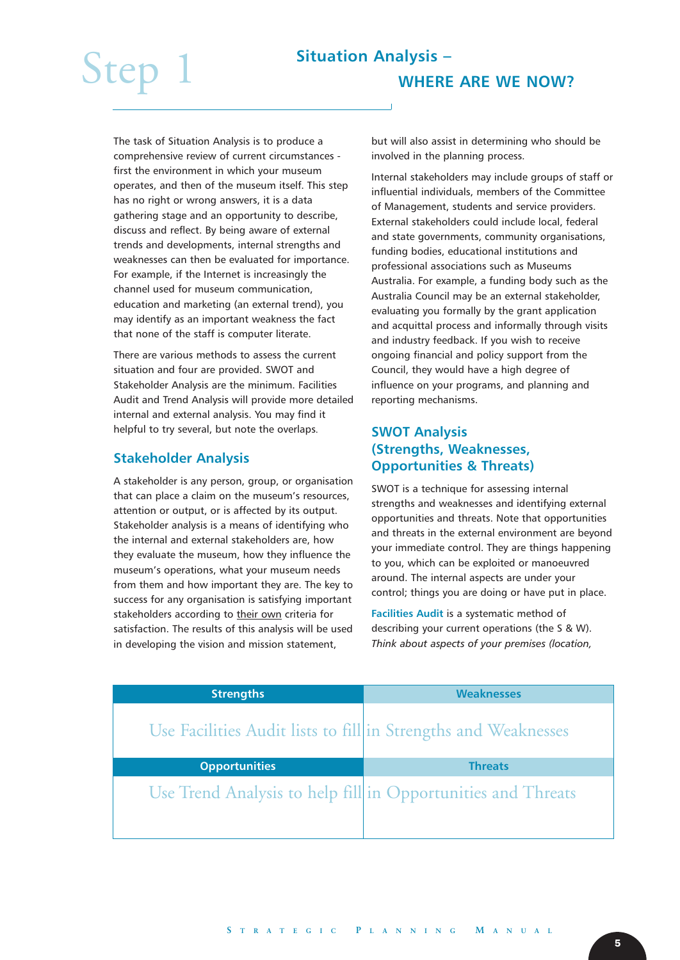The task of Situation Analysis is to produce a comprehensive review of current circumstances first the environment in which your museum operates, and then of the museum itself. This step has no right or wrong answers, it is a data gathering stage and an opportunity to describe, discuss and reflect. By being aware of external trends and developments, internal strengths and weaknesses can then be evaluated for importance. For example, if the Internet is increasingly the channel used for museum communication, education and marketing (an external trend), you may identify as an important weakness the fact that none of the staff is computer literate.

There are various methods to assess the current situation and four are provided. SWOT and Stakeholder Analysis are the minimum. Facilities Audit and Trend Analysis will provide more detailed internal and external analysis. You may find it helpful to try several, but note the overlaps.

### **Stakeholder Analysis**

A stakeholder is any person, group, or organisation that can place a claim on the museum's resources, attention or output, or is affected by its output. Stakeholder analysis is a means of identifying who the internal and external stakeholders are, how they evaluate the museum, how they influence the museum's operations, what your museum needs from them and how important they are. The key to success for any organisation is satisfying important stakeholders according to their own criteria for satisfaction. The results of this analysis will be used in developing the vision and mission statement,

but will also assist in determining who should be involved in the planning process.

Internal stakeholders may include groups of staff or influential individuals, members of the Committee of Management, students and service providers. External stakeholders could include local, federal and state governments, community organisations, funding bodies, educational institutions and professional associations such as Museums Australia. For example, a funding body such as the Australia Council may be an external stakeholder, evaluating you formally by the grant application and acquittal process and informally through visits and industry feedback. If you wish to receive ongoing financial and policy support from the Council, they would have a high degree of influence on your programs, and planning and reporting mechanisms.

### **SWOT Analysis (Strengths, Weaknesses, Opportunities & Threats)**

SWOT is a technique for assessing internal strengths and weaknesses and identifying external opportunities and threats. Note that opportunities and threats in the external environment are beyond your immediate control. They are things happening to you, which can be exploited or manoeuvred around. The internal aspects are under your control; things you are doing or have put in place.

**Facilities Audit** is a systematic method of describing your current operations (the S & W). *Think about aspects of your premises (location,*

| <b>Strengths</b>                                               | <b>Weaknesses</b> |
|----------------------------------------------------------------|-------------------|
| Use Facilities Audit lists to fill in Strengths and Weaknesses |                   |
| <b>Opportunities</b>                                           | <b>Threats</b>    |
| Use Trend Analysis to help fill in Opportunities and Threats   |                   |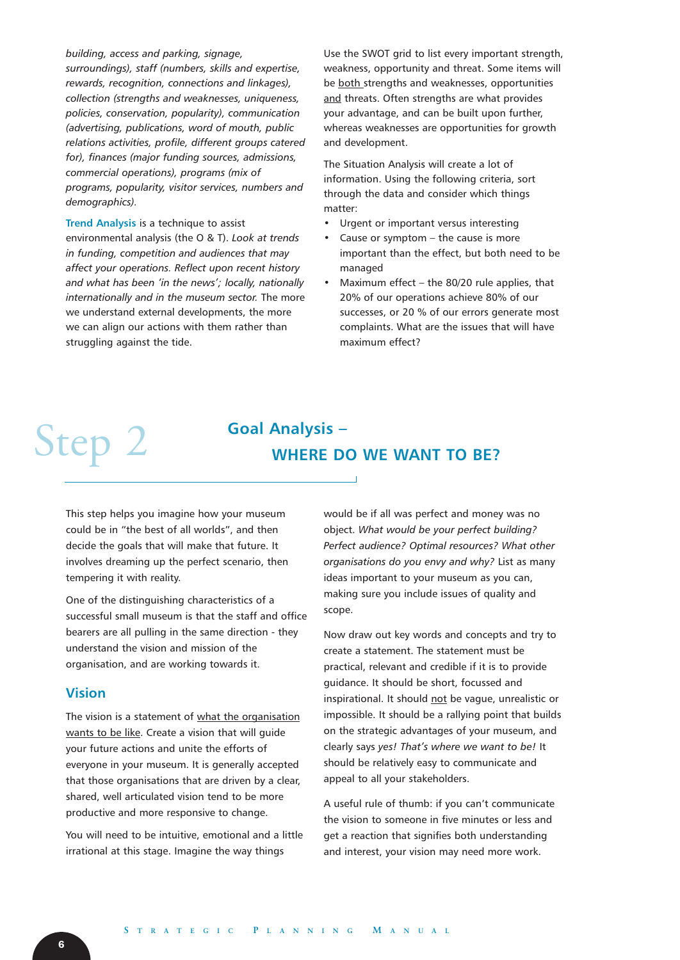#### *building, access and parking, signage,*

*surroundings), staff (numbers, skills and expertise, rewards, recognition, connections and linkages), collection (strengths and weaknesses, uniqueness, policies, conservation, popularity), communication (advertising, publications, word of mouth, public relations activities, profile, different groups catered for), finances (major funding sources, admissions, commercial operations), programs (mix of programs, popularity, visitor services, numbers and demographics).* 

#### **Trend Analysis** is a technique to assist

environmental analysis (the O & T). *Look at trends in funding, competition and audiences that may affect your operations. Reflect upon recent history and what has been 'in the news'; locally, nationally internationally and in the museum sector.* The more we understand external developments, the more we can align our actions with them rather than struggling against the tide.

Use the SWOT grid to list every important strength, weakness, opportunity and threat. Some items will be both strengths and weaknesses, opportunities and threats. Often strengths are what provides your advantage, and can be built upon further, whereas weaknesses are opportunities for growth and development.

The Situation Analysis will create a lot of information. Using the following criteria, sort through the data and consider which things matter:

- Urgent or important versus interesting
- Cause or symptom  $-$  the cause is more important than the effect, but both need to be managed
- Maximum effect the  $80/20$  rule applies, that 20% of our operations achieve 80% of our successes, or 20 % of our errors generate most complaints. What are the issues that will have maximum effect?

### Step 2 Goal Analysis – **WHERE DO WE WANT TO BE?**

This step helps you imagine how your museum could be in "the best of all worlds", and then decide the goals that will make that future. It involves dreaming up the perfect scenario, then tempering it with reality.

One of the distinguishing characteristics of a successful small museum is that the staff and office bearers are all pulling in the same direction - they understand the vision and mission of the organisation, and are working towards it.

#### **Vision**

The vision is a statement of what the organisation wants to be like. Create a vision that will guide your future actions and unite the efforts of everyone in your museum. It is generally accepted that those organisations that are driven by a clear, shared, well articulated vision tend to be more productive and more responsive to change.

You will need to be intuitive, emotional and a little irrational at this stage. Imagine the way things

would be if all was perfect and money was no object. *What would be your perfect building? Perfect audience? Optimal resources? What other organisations do you envy and why?* List as many ideas important to your museum as you can, making sure you include issues of quality and scope.

Now draw out key words and concepts and try to create a statement. The statement must be practical, relevant and credible if it is to provide guidance. It should be short, focussed and inspirational. It should not be vague, unrealistic or impossible. It should be a rallying point that builds on the strategic advantages of your museum, and clearly says *yes! That's where we want to be!* It should be relatively easy to communicate and appeal to all your stakeholders.

A useful rule of thumb: if you can't communicate the vision to someone in five minutes or less and get a reaction that signifies both understanding and interest, your vision may need more work.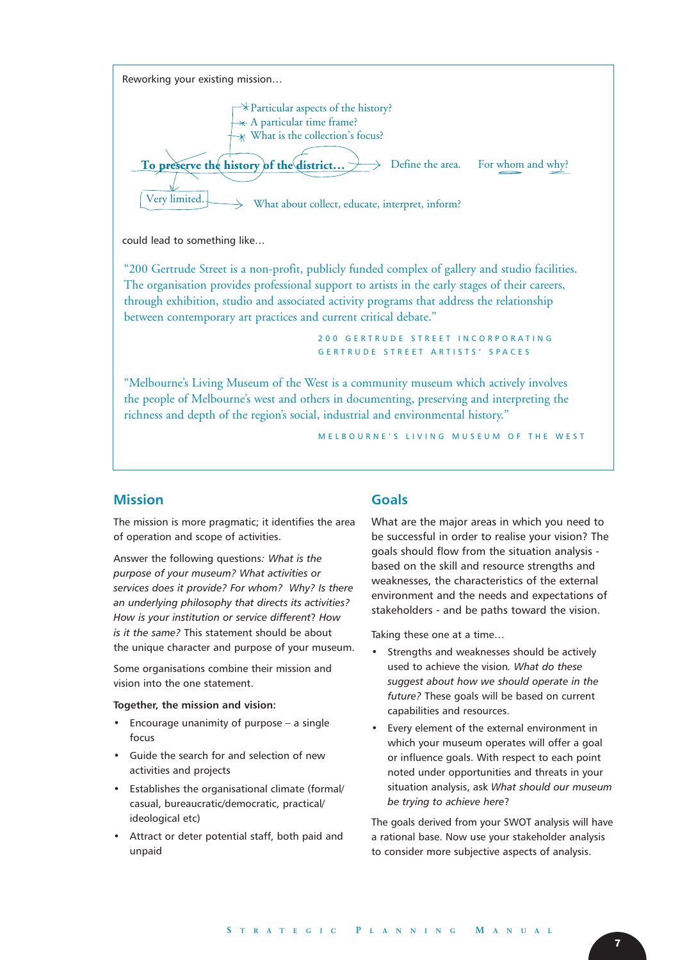

could lead to something like…

"200 Gertrude Street is a non-profit, publicly funded complex of gallery and studio facilities. The organisation provides professional support to artists in the early stages of their careers, through exhibition, studio and associated activity programs that address the relationship between contemporary art practices and current critical debate."

> 200 GERTRUDE STREET INCORPORATING GERTRUDE STREET ARTISTS' SPACES

"Melbourne's Living Museum of the West is a community museum which actively involves the people of Melbourne's west and others in documenting, preserving and interpreting the richness and depth of the region's social, industrial and environmental history."

MELBOURNE'S LIVING MUSEUM OF THE WEST

#### **Mission**

The mission is more pragmatic; it identifies the area of operation and scope of activities.

Answer the following questions*: What is the purpose of your museum? What activities or services does it provide? For whom? Why? Is there an underlying philosophy that directs its activities? How is your institution or service different*? *How is it the same?* This statement should be about the unique character and purpose of your museum.

Some organisations combine their mission and vision into the one statement.

#### **Together, the mission and vision:**

- Encourage unanimity of purpose  $-$  a single focus
- Guide the search for and selection of new activities and projects
- Establishes the organisational climate (formal/ casual, bureaucratic/democratic, practical/ ideological etc)
- Attract or deter potential staff, both paid and unpaid

#### **Goals**

What are the major areas in which you need to be successful in order to realise your vision? The goals should flow from the situation analysis based on the skill and resource strengths and weaknesses, the characteristics of the external environment and the needs and expectations of stakeholders - and be paths toward the vision.

Taking these one at a time…

- Strengths and weaknesses should be actively used to achieve the vision*. What do these suggest about how we should operate in the future?* These goals will be based on current capabilities and resources.
- Every element of the external environment in which your museum operates will offer a goal or influence goals. With respect to each point noted under opportunities and threats in your situation analysis, ask *What should our museum be trying to achieve here*?

The goals derived from your SWOT analysis will have a rational base. Now use your stakeholder analysis to consider more subjective aspects of analysis.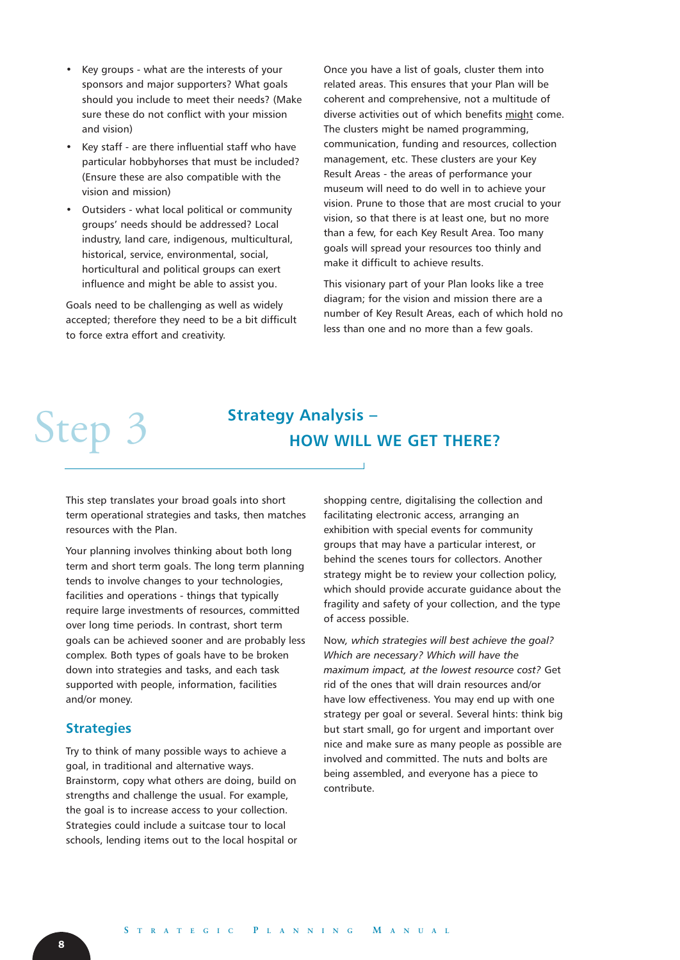- Key groups what are the interests of your sponsors and major supporters? What goals should you include to meet their needs? (Make sure these do not conflict with your mission and vision)
- Key staff are there influential staff who have particular hobbyhorses that must be included? (Ensure these are also compatible with the vision and mission)
- Outsiders what local political or community groups' needs should be addressed? Local industry, land care, indigenous, multicultural, historical, service, environmental, social, horticultural and political groups can exert influence and might be able to assist you.

Goals need to be challenging as well as widely accepted; therefore they need to be a bit difficult to force extra effort and creativity.

Once you have a list of goals, cluster them into related areas. This ensures that your Plan will be coherent and comprehensive, not a multitude of diverse activities out of which benefits might come. The clusters might be named programming, communication, funding and resources, collection management, etc. These clusters are your Key Result Areas - the areas of performance your museum will need to do well in to achieve your vision. Prune to those that are most crucial to your vision, so that there is at least one, but no more than a few, for each Key Result Area. Too many goals will spread your resources too thinly and make it difficult to achieve results.

This visionary part of your Plan looks like a tree diagram; for the vision and mission there are a number of Key Result Areas, each of which hold no less than one and no more than a few goals.

### Step 3<sup>Strategy Analysis –</sup> **HOW WILL WE GET THERE?**

This step translates your broad goals into short term operational strategies and tasks, then matches resources with the Plan.

Your planning involves thinking about both long term and short term goals. The long term planning tends to involve changes to your technologies, facilities and operations - things that typically require large investments of resources, committed over long time periods. In contrast, short term goals can be achieved sooner and are probably less complex. Both types of goals have to be broken down into strategies and tasks, and each task supported with people, information, facilities and/or money.

### **Strategies**

Try to think of many possible ways to achieve a goal, in traditional and alternative ways. Brainstorm, copy what others are doing, build on strengths and challenge the usual. For example, the goal is to increase access to your collection. Strategies could include a suitcase tour to local schools, lending items out to the local hospital or shopping centre, digitalising the collection and facilitating electronic access, arranging an exhibition with special events for community groups that may have a particular interest, or behind the scenes tours for collectors. Another strategy might be to review your collection policy, which should provide accurate guidance about the fragility and safety of your collection, and the type of access possible.

Now*, which strategies will best achieve the goal? Which are necessary? Which will have the maximum impact, at the lowest resource cost?* Get rid of the ones that will drain resources and/or have low effectiveness. You may end up with one strategy per goal or several. Several hints: think big but start small, go for urgent and important over nice and make sure as many people as possible are involved and committed. The nuts and bolts are being assembled, and everyone has a piece to contribute.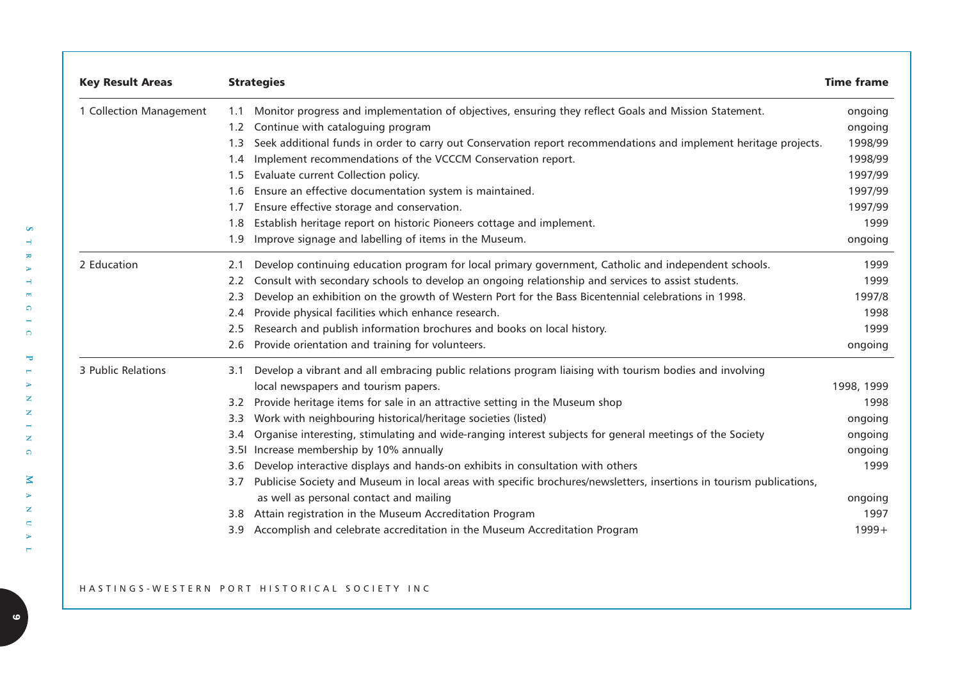| <b>Key Result Areas</b> | <b>Strategies</b>                                                                                                                                                      | <b>Time frame</b> |
|-------------------------|------------------------------------------------------------------------------------------------------------------------------------------------------------------------|-------------------|
| 1 Collection Management | Monitor progress and implementation of objectives, ensuring they reflect Goals and Mission Statement.<br>1.1                                                           | ongoing           |
|                         | Continue with cataloguing program<br>1.2                                                                                                                               | ongoing           |
|                         | Seek additional funds in order to carry out Conservation report recommendations and implement heritage projects.<br>1.3                                                | 1998/99           |
|                         | Implement recommendations of the VCCCM Conservation report.<br>1.4                                                                                                     | 1998/99           |
|                         | Evaluate current Collection policy.<br>1.5                                                                                                                             | 1997/99           |
|                         | Ensure an effective documentation system is maintained.<br>1.6                                                                                                         | 1997/99           |
|                         | Ensure effective storage and conservation.<br>1.7                                                                                                                      | 1997/99           |
|                         | Establish heritage report on historic Pioneers cottage and implement.<br>1.8                                                                                           | 1999              |
|                         | Improve signage and labelling of items in the Museum.<br>1.9                                                                                                           | ongoing           |
| 2 Education             | Develop continuing education program for local primary government, Catholic and independent schools.<br>2.1                                                            | 1999              |
|                         | Consult with secondary schools to develop an ongoing relationship and services to assist students.<br>2.2                                                              | 1999              |
|                         | Develop an exhibition on the growth of Western Port for the Bass Bicentennial celebrations in 1998.<br>2.3                                                             | 1997/8            |
|                         | Provide physical facilities which enhance research.<br>2.4                                                                                                             | 1998              |
|                         | Research and publish information brochures and books on local history.<br>2.5                                                                                          | 1999              |
|                         | Provide orientation and training for volunteers.<br>2.6                                                                                                                | ongoing           |
| 3 Public Relations      | Develop a vibrant and all embracing public relations program liaising with tourism bodies and involving<br>3.1                                                         |                   |
|                         | local newspapers and tourism papers.                                                                                                                                   | 1998, 1999        |
|                         | Provide heritage items for sale in an attractive setting in the Museum shop<br>$3.2^{\circ}$                                                                           | 1998              |
|                         | Work with neighbouring historical/heritage societies (listed)<br>3.3                                                                                                   | ongoing           |
|                         | Organise interesting, stimulating and wide-ranging interest subjects for general meetings of the Society<br>3.4                                                        | ongoing           |
|                         | Increase membership by 10% annually<br>3.51                                                                                                                            | ongoing           |
|                         | Develop interactive displays and hands-on exhibits in consultation with others<br>3.6                                                                                  | 1999              |
|                         | Publicise Society and Museum in local areas with specific brochures/newsletters, insertions in tourism publications,<br>3.7<br>as well as personal contact and mailing | ongoing           |
|                         | Attain registration in the Museum Accreditation Program<br>3.8                                                                                                         | 1997              |
|                         | Accomplish and celebrate accreditation in the Museum Accreditation Program<br>3.9                                                                                      | $1999+$           |

#### HASTINGS- WESTERN PORT HISTORICAL SOCIETY INC

**S**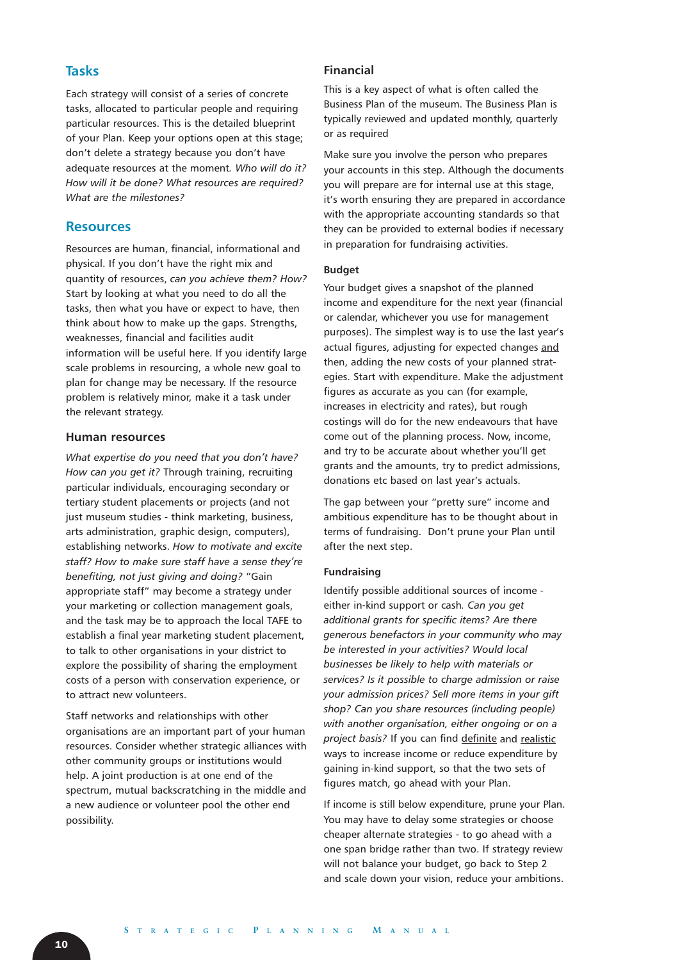#### **Tasks**

Each strategy will consist of a series of concrete tasks, allocated to particular people and requiring particular resources. This is the detailed blueprint of your Plan. Keep your options open at this stage; don't delete a strategy because you don't have adequate resources at the moment*. Who will do it? How will it be done? What resources are required? What are the milestones?* 

#### **Resources**

Resources are human, financial, informational and physical. If you don't have the right mix and quantity of resources, *can you achieve them? How?* Start by looking at what you need to do all the tasks, then what you have or expect to have, then think about how to make up the gaps. Strengths, weaknesses, financial and facilities audit information will be useful here. If you identify large scale problems in resourcing, a whole new goal to plan for change may be necessary. If the resource problem is relatively minor, make it a task under the relevant strategy.

#### **Human resources**

*What expertise do you need that you don't have? How can you get it?* Through training, recruiting particular individuals, encouraging secondary or tertiary student placements or projects (and not just museum studies - think marketing, business, arts administration, graphic design, computers), establishing networks. *How to motivate and excite staff? How to make sure staff have a sense they're benefiting, not just giving and doing?* "Gain appropriate staff" may become a strategy under your marketing or collection management goals, and the task may be to approach the local TAFE to establish a final year marketing student placement, to talk to other organisations in your district to explore the possibility of sharing the employment costs of a person with conservation experience, or to attract new volunteers.

Staff networks and relationships with other organisations are an important part of your human resources. Consider whether strategic alliances with other community groups or institutions would help. A joint production is at one end of the spectrum, mutual backscratching in the middle and a new audience or volunteer pool the other end possibility.

#### **Financial**

This is a key aspect of what is often called the Business Plan of the museum. The Business Plan is typically reviewed and updated monthly, quarterly or as required

Make sure you involve the person who prepares your accounts in this step. Although the documents you will prepare are for internal use at this stage, it's worth ensuring they are prepared in accordance with the appropriate accounting standards so that they can be provided to external bodies if necessary in preparation for fundraising activities.

#### **Budget**

Your budget gives a snapshot of the planned income and expenditure for the next year (financial or calendar, whichever you use for management purposes). The simplest way is to use the last year's actual figures, adjusting for expected changes and then, adding the new costs of your planned strategies. Start with expenditure. Make the adjustment figures as accurate as you can (for example, increases in electricity and rates), but rough costings will do for the new endeavours that have come out of the planning process. Now, income, and try to be accurate about whether you'll get grants and the amounts, try to predict admissions, donations etc based on last year's actuals.

The gap between your "pretty sure" income and ambitious expenditure has to be thought about in terms of fundraising. Don't prune your Plan until after the next step.

#### **Fundraising**

Identify possible additional sources of income either in-kind support or cash*. Can you get additional grants for specific items? Are there generous benefactors in your community who may be interested in your activities? Would local businesses be likely to help with materials or services? Is it possible to charge admission or raise your admission prices? Sell more items in your gift shop? Can you share resources (including people) with another organisation, either ongoing or on a project basis?* If you can find definite and realistic ways to increase income or reduce expenditure by gaining in-kind support, so that the two sets of figures match, go ahead with your Plan.

If income is still below expenditure, prune your Plan. You may have to delay some strategies or choose cheaper alternate strategies - to go ahead with a one span bridge rather than two. If strategy review will not balance your budget, go back to Step 2 and scale down your vision, reduce your ambitions.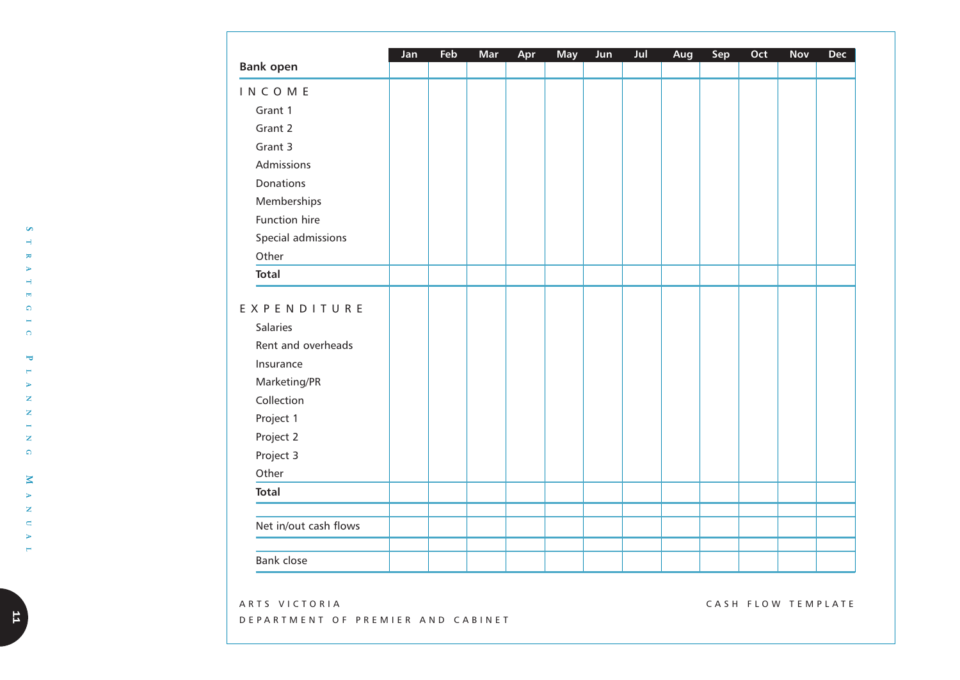| <b>Bank open</b>                                                                                                                         | Jan | Feb | Mar | Apr | <b>May</b> | Jun | Jul | Aug | Sep | Oct | Nov | <b>Dec</b> |
|------------------------------------------------------------------------------------------------------------------------------------------|-----|-----|-----|-----|------------|-----|-----|-----|-----|-----|-----|------------|
| <b>INCOME</b>                                                                                                                            |     |     |     |     |            |     |     |     |     |     |     |            |
| Grant 1                                                                                                                                  |     |     |     |     |            |     |     |     |     |     |     |            |
| Grant 2                                                                                                                                  |     |     |     |     |            |     |     |     |     |     |     |            |
| Grant 3                                                                                                                                  |     |     |     |     |            |     |     |     |     |     |     |            |
| Admissions                                                                                                                               |     |     |     |     |            |     |     |     |     |     |     |            |
| Donations                                                                                                                                |     |     |     |     |            |     |     |     |     |     |     |            |
| Memberships                                                                                                                              |     |     |     |     |            |     |     |     |     |     |     |            |
| Function hire                                                                                                                            |     |     |     |     |            |     |     |     |     |     |     |            |
| Special admissions                                                                                                                       |     |     |     |     |            |     |     |     |     |     |     |            |
| Other                                                                                                                                    |     |     |     |     |            |     |     |     |     |     |     |            |
| <b>Total</b>                                                                                                                             |     |     |     |     |            |     |     |     |     |     |     |            |
| EXPENDITURE<br>Salaries<br>Rent and overheads<br>Insurance<br>Marketing/PR<br>Collection<br>Project 1<br>Project 2<br>Project 3<br>Other |     |     |     |     |            |     |     |     |     |     |     |            |
| <b>Total</b>                                                                                                                             |     |     |     |     |            |     |     |     |     |     |     |            |
| Net in/out cash flows                                                                                                                    |     |     |     |     |            |     |     |     |     |     |     |            |
| <b>Bank close</b>                                                                                                                        |     |     |     |     |            |     |     |     |     |     |     |            |

ARTS VICTORIA DEP ARTMENT OF PREMIER AND CABINET CASH FLOW TEMPLATE

**S**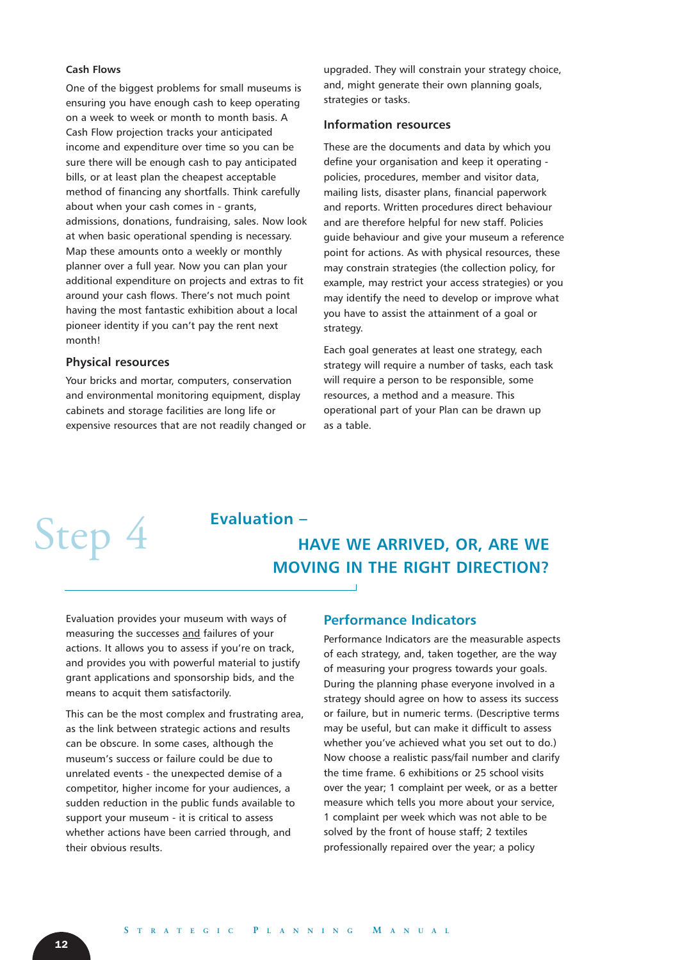#### **Cash Flows**

One of the biggest problems for small museums is ensuring you have enough cash to keep operating on a week to week or month to month basis. A Cash Flow projection tracks your anticipated income and expenditure over time so you can be sure there will be enough cash to pay anticipated bills, or at least plan the cheapest acceptable method of financing any shortfalls. Think carefully about when your cash comes in - grants, admissions, donations, fundraising, sales. Now look at when basic operational spending is necessary. Map these amounts onto a weekly or monthly planner over a full year. Now you can plan your additional expenditure on projects and extras to fit around your cash flows. There's not much point having the most fantastic exhibition about a local pioneer identity if you can't pay the rent next month!

#### **Physical resources**

Your bricks and mortar, computers, conservation and environmental monitoring equipment, display cabinets and storage facilities are long life or expensive resources that are not readily changed or upgraded. They will constrain your strategy choice, and, might generate their own planning goals, strategies or tasks.

#### **Information resources**

These are the documents and data by which you define your organisation and keep it operating policies, procedures, member and visitor data, mailing lists, disaster plans, financial paperwork and reports. Written procedures direct behaviour and are therefore helpful for new staff. Policies guide behaviour and give your museum a reference point for actions. As with physical resources, these may constrain strategies (the collection policy, for example, may restrict your access strategies) or you may identify the need to develop or improve what you have to assist the attainment of a goal or strategy.

Each goal generates at least one strategy, each strategy will require a number of tasks, each task will require a person to be responsible, some resources, a method and a measure. This operational part of your Plan can be drawn up as a table.

## Step 4 Evaluation -

### **HAVE WE ARRIVED, OR, ARE WE MOVING IN THE RIGHT DIRECTION?**

Evaluation provides your museum with ways of measuring the successes and failures of your actions. It allows you to assess if you're on track, and provides you with powerful material to justify grant applications and sponsorship bids, and the means to acquit them satisfactorily.

This can be the most complex and frustrating area, as the link between strategic actions and results can be obscure. In some cases, although the museum's success or failure could be due to unrelated events - the unexpected demise of a competitor, higher income for your audiences, a sudden reduction in the public funds available to support your museum - it is critical to assess whether actions have been carried through, and their obvious results.

#### **Performance Indicators**

 $\overline{\phantom{a}}$ 

Performance Indicators are the measurable aspects of each strategy, and, taken together, are the way of measuring your progress towards your goals. During the planning phase everyone involved in a strategy should agree on how to assess its success or failure, but in numeric terms. (Descriptive terms may be useful, but can make it difficult to assess whether you've achieved what you set out to do.) Now choose a realistic pass/fail number and clarify the time frame. 6 exhibitions or 25 school visits over the year; 1 complaint per week, or as a better measure which tells you more about your service, 1 complaint per week which was not able to be solved by the front of house staff; 2 textiles professionally repaired over the year; a policy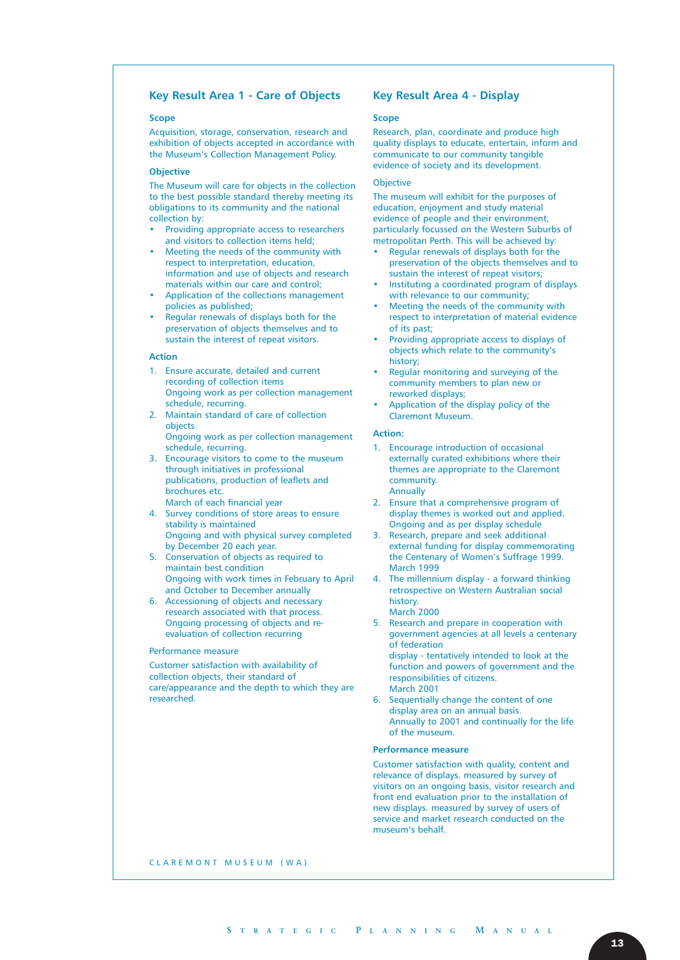#### **Key Result Area 1 - Care of Objects**

#### **Scope**

Acquisition, storage, conservation, research and exhibition of objects accepted in accordance with the Museum's Collection Management Policy.

#### **Objective**

The Museum will care for objects in the collection to the best possible standard thereby meeting its obligations to its community and the national collection by:

- Providing appropriate access to researchers and visitors to collection items held;
- Meeting the needs of the community with respect to interpretation, education, information and use of objects and research materials within our care and control;
- Application of the collections management policies as published;
- Regular renewals of displays both for the preservation of objects themselves and to sustain the interest of repeat visitors.

#### **Action**

- 1. Ensure accurate, detailed and current recording of collection items Ongoing work as per collection management schedule, recurring.
- 2. Maintain standard of care of collection objects Ongoing work as per collection management schedule, recurring.
- 3. Encourage visitors to come to the museum through initiatives in professional publications, production of leaflets and brochures etc. March of each financial year
- 4. Survey conditions of store areas to ensure stability is maintained Ongoing and with physical survey completed by December 20 each year.
- 5. Conservation of objects as required to maintain best condition Ongoing with work times in February to April and October to December annually
- 6. Accessioning of objects and necessary research associated with that process. Ongoing processing of objects and reevaluation of collection recurring

#### Performance measure

Customer satisfaction with availability of collection objects, their standard of care/appearance and the depth to which they are researched.

#### **Key Result Area 4 - Display**

#### **Scope**

Research, plan, coordinate and produce high quality displays to educate, entertain, inform and communicate to our community tangible evidence of society and its development.

#### **Objective**

The museum will exhibit for the purposes of education, enjoyment and study material evidence of people and their environment, particularly focussed on the Western Suburbs of metropolitan Perth. This will be achieved by:

- Regular renewals of displays both for the preservation of the objects themselves and to sustain the interest of repeat visitors;
- Instituting a coordinated program of displays with relevance to our community;
- Meeting the needs of the community with respect to interpretation of material evidence of its past;
- Providing appropriate access to displays of objects which relate to the community's history;
- Regular monitoring and surveying of the community members to plan new or reworked displays;
- Application of the display policy of the Claremont Museum.

#### **Action:**

- 1. Encourage introduction of occasional externally curated exhibitions where their themes are appropriate to the Claremont community. Annually
- 2. Ensure that a comprehensive program of display themes is worked out and applied. Ongoing and as per display schedule
- 3. Research, prepare and seek additional external funding for display commemorating the Centenary of Women's Suffrage 1999. March 1999
- 4. The millennium display a forward thinking retrospective on Western Australian social history. March 2000
- 5. Research and prepare in cooperation with government agencies at all levels a centenary of federation display - tentatively intended to look at the

function and powers of government and the responsibilities of citizens. March 2001

6. Sequentially change the content of one display area on an annual basis. Annually to 2001 and continually for the life of the museum.

#### **Performance measure**

Customer satisfaction with quality, content and relevance of displays. measured by survey of visitors on an ongoing basis, visitor research and front end evaluation prior to the installation of new displays. measured by survey of users of service and market research conducted on the museum's behalf.

CLAREMONT MUSEUM (WA)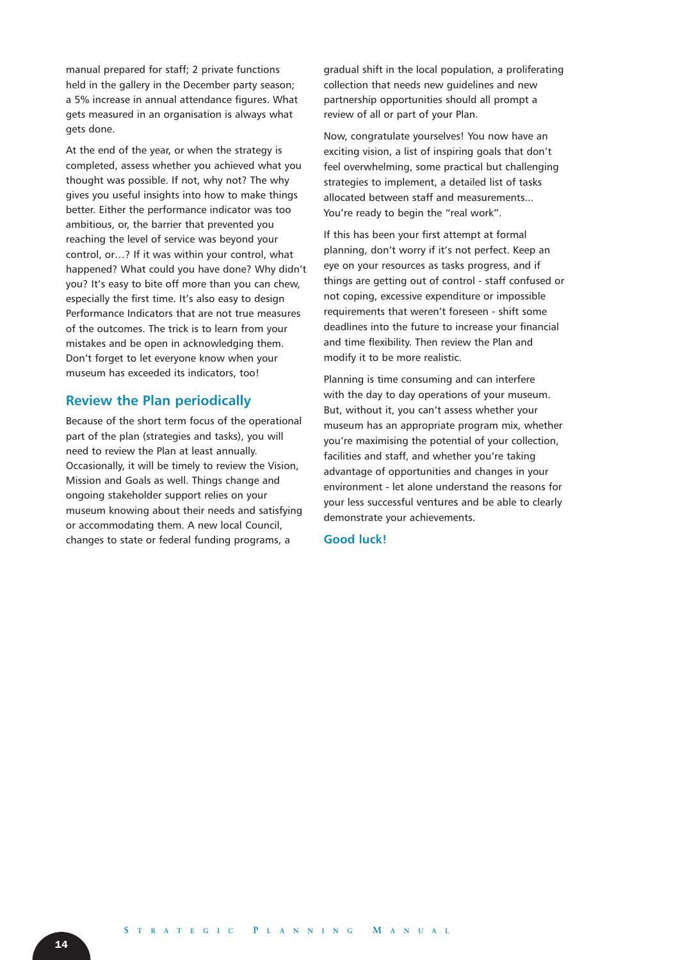manual prepared for staff; 2 private functions held in the gallery in the December party season; a 5% increase in annual attendance figures. What gets measured in an organisation is always what gets done.

At the end of the year, or when the strategy is completed, assess whether you achieved what you thought was possible. If not, why not? The why gives you useful insights into how to make things better. Either the performance indicator was too ambitious, or, the barrier that prevented you reaching the level of service was beyond your control, or…? If it was within your control, what happened? What could you have done? Why didn't you? It's easy to bite off more than you can chew, especially the first time. It's also easy to design Performance Indicators that are not true measures of the outcomes. The trick is to learn from your mistakes and be open in acknowledging them. Don't forget to let everyone know when your museum has exceeded its indicators, too!

#### **Review the Plan periodically**

Because of the short term focus of the operational part of the plan (strategies and tasks), you will need to review the Plan at least annually. Occasionally, it will be timely to review the Vision, Mission and Goals as well. Things change and ongoing stakeholder support relies on your museum knowing about their needs and satisfying or accommodating them. A new local Council, changes to state or federal funding programs, a

gradual shift in the local population, a proliferating collection that needs new guidelines and new partnership opportunities should all prompt a review of all or part of your Plan.

Now, congratulate yourselves! You now have an exciting vision, a list of inspiring goals that don't feel overwhelming, some practical but challenging strategies to implement, a detailed list of tasks allocated between staff and measurements... You're ready to begin the "real work".

If this has been your first attempt at formal planning, don't worry if it's not perfect. Keep an eye on your resources as tasks progress, and if things are getting out of control - staff confused or not coping, excessive expenditure or impossible requirements that weren't foreseen - shift some deadlines into the future to increase your financial and time flexibility. Then review the Plan and modify it to be more realistic.

Planning is time consuming and can interfere with the day to day operations of your museum. But, without it, you can't assess whether your museum has an appropriate program mix, whether you're maximising the potential of your collection, facilities and staff, and whether you're taking advantage of opportunities and changes in your environment - let alone understand the reasons for your less successful ventures and be able to clearly demonstrate your achievements.

#### **Good luck!**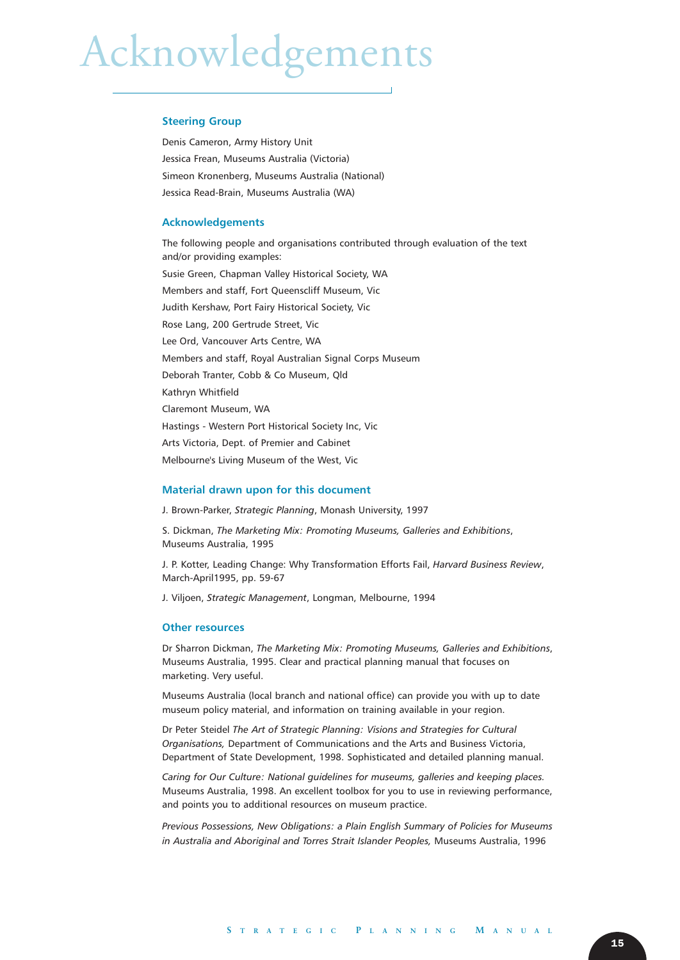# Acknowledgements

#### **Steering Group**

Denis Cameron, Army History Unit Jessica Frean, Museums Australia (Victoria) Simeon Kronenberg, Museums Australia (National) Jessica Read-Brain, Museums Australia (WA)

#### **Acknowledgements**

The following people and organisations contributed through evaluation of the text and/or providing examples: Susie Green, Chapman Valley Historical Society, WA Members and staff, Fort Queenscliff Museum, Vic Judith Kershaw, Port Fairy Historical Society, Vic Rose Lang, 200 Gertrude Street, Vic Lee Ord, Vancouver Arts Centre, WA Members and staff, Royal Australian Signal Corps Museum Deborah Tranter, Cobb & Co Museum, Qld Kathryn Whitfield Claremont Museum, WA Hastings - Western Port Historical Society Inc, Vic Arts Victoria, Dept. of Premier and Cabinet Melbourne's Living Museum of the West, Vic

#### **Material drawn upon for this document**

J. Brown-Parker, *Strategic Planning*, Monash University, 1997

S. Dickman, *The Marketing Mix: Promoting Museums, Galleries and Exhibitions*, Museums Australia, 1995

J. P. Kotter, Leading Change: Why Transformation Efforts Fail, *Harvard Business Review*, March-April1995, pp. 59-67

J. Viljoen, *Strategic Management*, Longman, Melbourne, 1994

#### **Other resources**

Dr Sharron Dickman, *The Marketing Mix: Promoting Museums, Galleries and Exhibitions*, Museums Australia, 1995. Clear and practical planning manual that focuses on marketing. Very useful.

Museums Australia (local branch and national office) can provide you with up to date museum policy material, and information on training available in your region.

Dr Peter Steidel *The Art of Strategic Planning: Visions and Strategies for Cultural Organisations,* Department of Communications and the Arts and Business Victoria, Department of State Development, 1998. Sophisticated and detailed planning manual.

*Caring for Our Culture: National guidelines for museums, galleries and keeping places.* Museums Australia, 1998. An excellent toolbox for you to use in reviewing performance, and points you to additional resources on museum practice.

*Previous Possessions, New Obligations: a Plain English Summary of Policies for Museums in Australia and Aboriginal and Torres Strait Islander Peoples,* Museums Australia, 1996